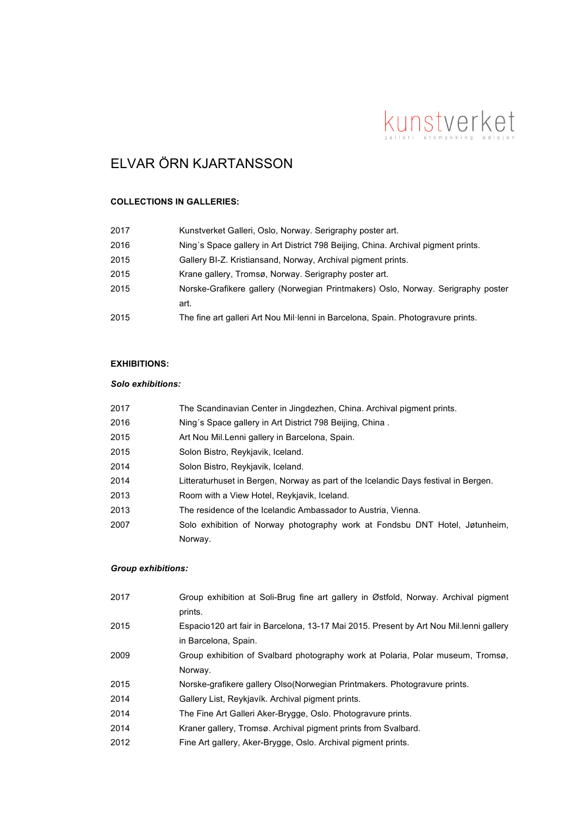# kunstverket

# ELVAR ÖRN KJARTANSSON

## **COLLECTIONS IN GALLERIES:**

| 2017 | Kunstverket Galleri, Oslo, Norway. Serigraphy poster art.                         |
|------|-----------------------------------------------------------------------------------|
| 2016 | Ning's Space gallery in Art District 798 Beijing, China. Archival pigment prints. |
| 2015 | Gallery BI-Z. Kristiansand, Norway, Archival pigment prints.                      |
| 2015 | Krane gallery, Tromsø, Norway. Serigraphy poster art.                             |
| 2015 | Norske-Grafikere gallery (Norwegian Printmakers) Oslo, Norway. Serigraphy poster  |
|      | art.                                                                              |
| 2015 | The fine art galleri Art Nou Mil·lenni in Barcelona, Spain. Photogravure prints.  |

# **EXHIBITIONS:**

#### *Solo exhibitions:*

| 2017 | The Scandinavian Center in Jingdezhen, China. Archival pigment prints.              |
|------|-------------------------------------------------------------------------------------|
| 2016 | Ning's Space gallery in Art District 798 Beijing, China.                            |
| 2015 | Art Nou Mil. Lenni gallery in Barcelona, Spain.                                     |
| 2015 | Solon Bistro, Reykjavik, Iceland.                                                   |
| 2014 | Solon Bistro, Reykjavik, Iceland.                                                   |
| 2014 | Litteraturhuset in Bergen, Norway as part of the Icelandic Days festival in Bergen. |
| 2013 | Room with a View Hotel, Reykjavik, Iceland.                                         |
| 2013 | The residence of the Icelandic Ambassador to Austria, Vienna.                       |
| 2007 | Solo exhibition of Norway photography work at Fondsbu DNT Hotel, Jøtunheim,         |
|      | Norway.                                                                             |

# *Group exhibitions:*

| Group exhibition at Soli-Brug fine art gallery in Østfold, Norway. Archival pigment<br>prints.                  |
|-----------------------------------------------------------------------------------------------------------------|
| Espacio120 art fair in Barcelona, 13-17 Mai 2015. Present by Art Nou Mil. lenni gallery<br>in Barcelona, Spain. |
| Group exhibition of Svalbard photography work at Polaria, Polar museum, Tromsø,                                 |
| Norway.<br>Norske-grafikere gallery Olso (Norwegian Printmakers. Photogravure prints.                           |
| Gallery List, Reykjavík. Archival pigment prints.                                                               |
| The Fine Art Galleri Aker-Brygge, Oslo. Photogravure prints.                                                    |
| Kraner gallery, Tromsø. Archival pigment prints from Svalbard.                                                  |
| Fine Art gallery, Aker-Brygge, Oslo. Archival pigment prints.                                                   |
|                                                                                                                 |